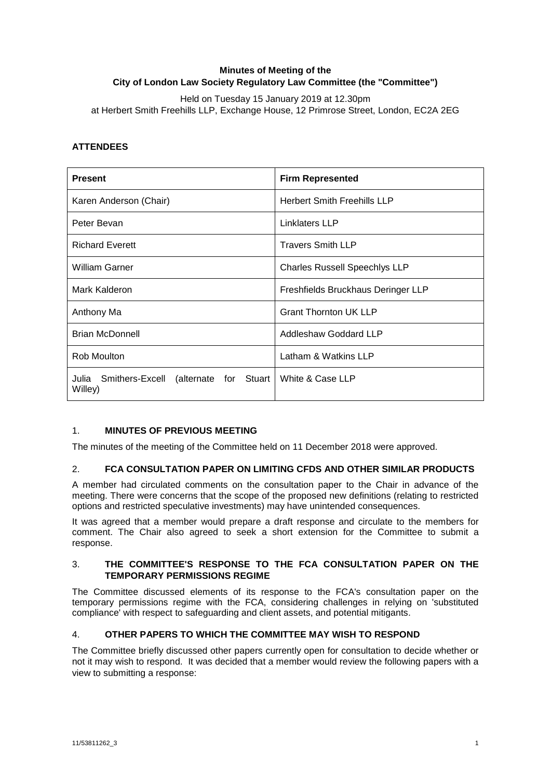# **Minutes of Meeting of the City of London Law Society Regulatory Law Committee (the "Committee")**

Held on Tuesday 15 January 2019 at 12.30pm at Herbert Smith Freehills LLP, Exchange House, 12 Primrose Street, London, EC2A 2EG

# **ATTENDEES**

| <b>Present</b>                                            | <b>Firm Represented</b>              |
|-----------------------------------------------------------|--------------------------------------|
| Karen Anderson (Chair)                                    | <b>Herbert Smith Freehills LLP</b>   |
| Peter Bevan                                               | <b>Linklaters LLP</b>                |
| <b>Richard Everett</b>                                    | <b>Travers Smith LLP</b>             |
| <b>William Garner</b>                                     | <b>Charles Russell Speechlys LLP</b> |
| Mark Kalderon                                             | Freshfields Bruckhaus Deringer LLP   |
| Anthony Ma                                                | <b>Grant Thornton UK LLP</b>         |
| <b>Brian McDonnell</b>                                    | <b>Addleshaw Goddard LLP</b>         |
| Rob Moulton                                               | Latham & Watkins LLP                 |
| Smithers-Excell (alternate for Stuart<br>Julia<br>Willey) | White & Case LLP                     |

### 1. **MINUTES OF PREVIOUS MEETING**

The minutes of the meeting of the Committee held on 11 December 2018 were approved.

## 2. **FCA CONSULTATION PAPER ON LIMITING CFDS AND OTHER SIMILAR PRODUCTS**

A member had circulated comments on the consultation paper to the Chair in advance of the meeting. There were concerns that the scope of the proposed new definitions (relating to restricted options and restricted speculative investments) may have unintended consequences.

It was agreed that a member would prepare a draft response and circulate to the members for comment. The Chair also agreed to seek a short extension for the Committee to submit a response.

### 3. **THE COMMITTEE'S RESPONSE TO THE FCA CONSULTATION PAPER ON THE TEMPORARY PERMISSIONS REGIME**

The Committee discussed elements of its response to the FCA's consultation paper on the temporary permissions regime with the FCA, considering challenges in relying on 'substituted compliance' with respect to safeguarding and client assets, and potential mitigants.

### 4. **OTHER PAPERS TO WHICH THE COMMITTEE MAY WISH TO RESPOND**

The Committee briefly discussed other papers currently open for consultation to decide whether or not it may wish to respond. It was decided that a member would review the following papers with a view to submitting a response: